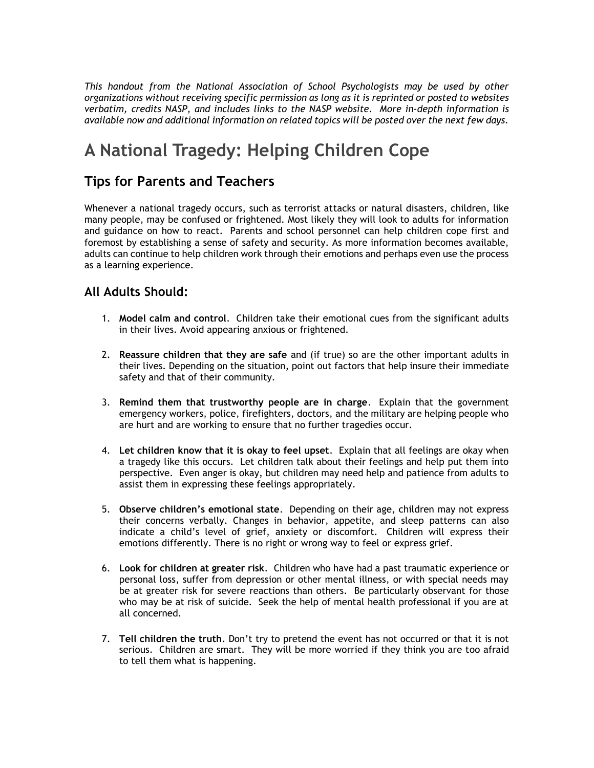*This handout from the National Association of School Psychologists may be used by other organizations without receiving specific permission as long as it is reprinted or posted to websites verbatim, credits NASP, and includes links to the NASP website. More in-depth information is available now and additional information on related topics will be posted over the next few days.* 

## **A National Tragedy: Helping Children Cope**

## **Tips for Parents and Teachers**

Whenever a national tragedy occurs, such as terrorist attacks or natural disasters, children, like many people, may be confused or frightened. Most likely they will look to adults for information and guidance on how to react. Parents and school personnel can help children cope first and foremost by establishing a sense of safety and security. As more information becomes available, adults can continue to help children work through their emotions and perhaps even use the process as a learning experience.

## **All Adults Should:**

- 1. **Model calm and control**. Children take their emotional cues from the significant adults in their lives. Avoid appearing anxious or frightened.
- 2. **Reassure children that they are safe** and (if true) so are the other important adults in their lives. Depending on the situation, point out factors that help insure their immediate safety and that of their community.
- 3. **Remind them that trustworthy people are in charge**. Explain that the government emergency workers, police, firefighters, doctors, and the military are helping people who are hurt and are working to ensure that no further tragedies occur.
- 4. **Let children know that it is okay to feel upset**. Explain that all feelings are okay when a tragedy like this occurs. Let children talk about their feelings and help put them into perspective. Even anger is okay, but children may need help and patience from adults to assist them in expressing these feelings appropriately.
- 5. **Observe children's emotional state**. Depending on their age, children may not express their concerns verbally. Changes in behavior, appetite, and sleep patterns can also indicate a child's level of grief, anxiety or discomfort. Children will express their emotions differently. There is no right or wrong way to feel or express grief.
- 6. **Look for children at greater risk**. Children who have had a past traumatic experience or personal loss, suffer from depression or other mental illness, or with special needs may be at greater risk for severe reactions than others. Be particularly observant for those who may be at risk of suicide. Seek the help of mental health professional if you are at all concerned.
- 7. **Tell children the truth**. Don't try to pretend the event has not occurred or that it is not serious. Children are smart. They will be more worried if they think you are too afraid to tell them what is happening.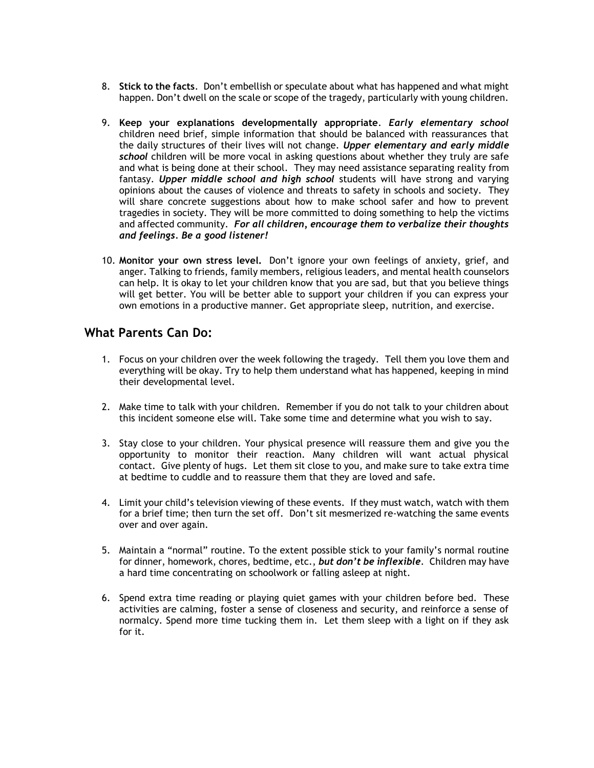- 8. **Stick to the facts**. Don't embellish or speculate about what has happened and what might happen. Don't dwell on the scale or scope of the tragedy, particularly with young children.
- 9. **Keep your explanations developmentally appropriate**. *Early elementary school* children need brief, simple information that should be balanced with reassurances that the daily structures of their lives will not change. *Upper elementary and early middle school* children will be more vocal in asking questions about whether they truly are safe and what is being done at their school. They may need assistance separating reality from fantasy. *Upper middle school and high school* students will have strong and varying opinions about the causes of violence and threats to safety in schools and society. They will share concrete suggestions about how to make school safer and how to prevent tragedies in society. They will be more committed to doing something to help the victims and affected community. *For all children, encourage them to verbalize their thoughts and feelings. Be a good listener!*
- 10. **Monitor your own stress level.** Don't ignore your own feelings of anxiety, grief, and anger. Talking to friends, family members, religious leaders, and mental health counselors can help. It is okay to let your children know that you are sad, but that you believe things will get better. You will be better able to support your children if you can express your own emotions in a productive manner. Get appropriate sleep, nutrition, and exercise.

## **What Parents Can Do:**

- 1. Focus on your children over the week following the tragedy. Tell them you love them and everything will be okay. Try to help them understand what has happened, keeping in mind their developmental level.
- 2. Make time to talk with your children. Remember if you do not talk to your children about this incident someone else will. Take some time and determine what you wish to say.
- 3. Stay close to your children. Your physical presence will reassure them and give you the opportunity to monitor their reaction. Many children will want actual physical contact. Give plenty of hugs. Let them sit close to you, and make sure to take extra time at bedtime to cuddle and to reassure them that they are loved and safe.
- 4. Limit your child's television viewing of these events. If they must watch, watch with them for a brief time; then turn the set off. Don't sit mesmerized re-watching the same events over and over again.
- 5. Maintain a "normal" routine. To the extent possible stick to your family's normal routine for dinner, homework, chores, bedtime, etc., *but don't be inflexible*. Children may have a hard time concentrating on schoolwork or falling asleep at night.
- 6. Spend extra time reading or playing quiet games with your children before bed. These activities are calming, foster a sense of closeness and security, and reinforce a sense of normalcy. Spend more time tucking them in. Let them sleep with a light on if they ask for it.